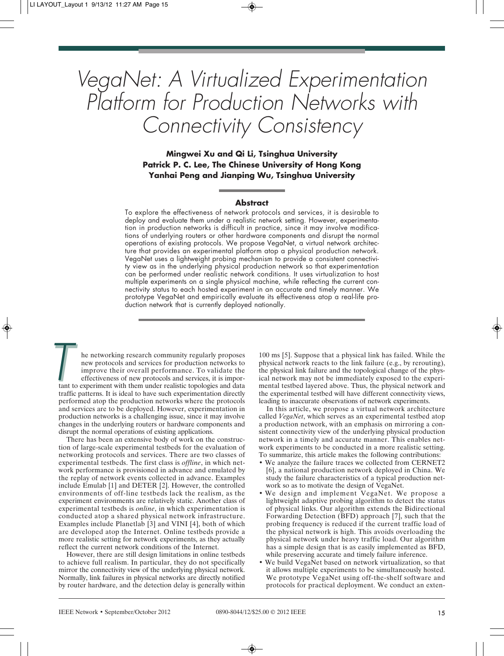# VegaNet: A Virtualized Experimentation Platform for Production Networks with Connectivity Consistency

**Mingwei Xu and Qi Li, Tsinghua University Patrick P. C. Lee, The Chinese University of Hong Kong Yanhai Peng and Jianping Wu, Tsinghua University**

## **Abstract**

To explore the effectiveness of network protocols and services, it is desirable to deploy and evaluate them under a realistic network setting. However, experimentation in production networks is difficult in practice, since it may involve modifications of underlying routers or other hardware components and disrupt the normal operations of existing protocols. We propose VegaNet, a virtual network architecture that provides an experimental platform atop a physical production network. VegaNet uses a lightweight probing mechanism to provide a consistent connectivity view as in the underlying physical production network so that experimentation can be performed under realistic network conditions. It uses virtualization to host multiple experiments on a single physical machine, while reflecting the current connectivity status to each hosted experiment in an accurate and timely manner. We prototype VegaNet and empirically evaluate its effectiveness atop a real-life production network that is currently deployed nationally.

he networking research community regularly proposes new protocols and services for production networks to improve their overall performance. To validate the effectiveness of new protocols and services, it is important to experiment with them under realistic topologies and data traffic patterns. It is ideal to have such experimentation directly performed atop the production networks where the protocols and services are to be deployed. However, experimentation in production networks is a challenging issue, since it may involve changes in the underlying routers or hardware components and disrupt the normal operations of existing applications. T T

There has been an extensive body of work on the construction of large-scale experimental testbeds for the evaluation of networking protocols and services. There are two classes of experimental testbeds. The first class is *offline*, in which network performance is provisioned in advance and emulated by the replay of network events collected in advance. Examples include Emulab [1] and DETER [2]. However, the controlled environments of off-line testbeds lack the realism, as the experiment environments are relatively static. Another class of experimental testbeds is *online*, in which experimentation is conducted atop a shared physical network infrastructure. Examples include Planetlab [3] and VINI [4], both of which are developed atop the Internet. Online testbeds provide a more realistic setting for network experiments, as they actually reflect the current network conditions of the Internet.

However, there are still design limitations in online testbeds to achieve full realism. In particular, they do not specifically mirror the connectivity view of the underlying physical network. Normally, link failures in physical networks are directly notified by router hardware, and the detection delay is generally within

100 ms [5]. Suppose that a physical link has failed. While the physical network reacts to the link failure (e.g., by rerouting), the physical link failure and the topological change of the physical network may not be immediately exposed to the experimental testbed layered above. Thus, the physical network and the experimental testbed will have different connectivity views, leading to inaccurate observations of network experiments.

In this article, we propose a virtual network architecture called *VegaNet*, which serves as an experimental testbed atop a production network, with an emphasis on mirroring a consistent connectivity view of the underlying physical production network in a timely and accurate manner. This enables network experiments to be conducted in a more realistic setting. To summarize, this article makes the following contributions:

- We analyze the failure traces we collected from CERNET2 [6], a national production network deployed in China. We study the failure characteristics of a typical production network so as to motivate the design of VegaNet.
- We design and implement VegaNet. We propose a lightweight adaptive probing algorithm to detect the status of physical links. Our algorithm extends the Bidirectional Forwarding Detection (BFD) approach [7], such that the probing frequency is reduced if the current traffic load of the physical network is high. This avoids overloading the physical network under heavy traffic load. Our algorithm has a simple design that is as easily implemented as BFD, while preserving accurate and timely failure inference.
- We build VegaNet based on network virtualization, so that it allows multiple experiments to be simultaneously hosted. We prototype VegaNet using off-the-shelf software and protocols for practical deployment. We conduct an exten-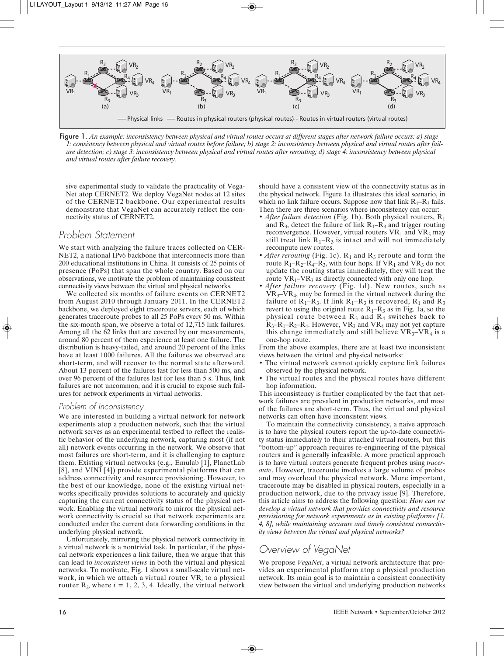

Figure 1. *An example: inconsistency between physical and virtual routes occurs at different stages after network failure occurs: a) stage 1: consistency between physical and virtual routes before failure; b) stage 2: inconsistency between physical and virtual routes after failure detection; c) stage 3: inconsistency between physical and virtual routes after rerouting; d) stage 4: inconsistency between physical and virtual routes after failure recovery.*

sive experimental study to validate the practicality of Vega-Net atop CERNET2. We deploy VegaNet nodes at 12 sites of the CERNET2 backbone. Our experimental results demonstrate that VegaNet can accurately reflect the connectivity status of CERNET2.

## Problem Statement

We start with analyzing the failure traces collected on CER-NET2, a national IPv6 backbone that interconnects more than 200 educational institutions in China. It consists of 25 points of presence (PoPs) that span the whole country. Based on our observations, we motivate the problem of maintaining consistent connectivity views between the virtual and physical networks.

We collected six months of failure events on CERNET2 from August 2010 through January 2011. In the CERNET2 backbone, we deployed eight traceroute servers, each of which generates traceroute probes to all 25 PoPs every 50 ms. Within the six-month span, we observe a total of 12,715 link failures. Among all the 62 links that are covered by our measurements, around 80 percent of them experience at least one failure. The distribution is heavy-tailed, and around 20 percent of the links have at least 1000 failures. All the failures we observed are short-term, and will recover to the normal state afterward. About 13 percent of the failures last for less than 500 ms, and over 96 percent of the failures last for less than 5 s. Thus, link failures are not uncommon, and it is crucial to expose such failures for network experiments in virtual networks.

## Problem of Inconsistency

We are interested in building a virtual network for network experiments atop a production network, such that the virtual network serves as an experimental testbed to reflect the realistic behavior of the underlying network, capturing most (if not all) network events occurring in the network. We observe that most failures are short-term, and it is challenging to capture them. Existing virtual networks (e.g., Emulab [1], PlanetLab [8], and VINI [4]) provide experimental platforms that can address connectivity and resource provisioning. However, to the best of our knowledge, none of the existing virtual networks specifically provides solutions to accurately and quickly capturing the current connectivity status of the physical network. Enabling the virtual network to mirror the physical network connectivity is crucial so that network experiments are conducted under the current data forwarding conditions in the underlying physical network.

Unfortunately, mirroring the physical network connectivity in a virtual network is a nontrivial task. In particular, if the physical network experiences a link failure, then we argue that this can lead to *inconsistent views* in both the virtual and physical networks. To motivate, Fig. 1 shows a small-scale virtual network, in which we attach a virtual router VR*<sup>i</sup>* to a physical router  $R_i$ , where  $i = 1, 2, 3, 4$ . Ideally, the virtual network

should have a consistent view of the connectivity status as in the physical network. Figure 1a illustrates this ideal scenario, in which no link failure occurs. Suppose now that link  $R_1-R_3$  fails. Then there are three scenarios where inconsistency can occur:

- *After failure detection* (Fig. 1b). Both physical routers, R<sub>1</sub> and  $R_3$ , detect the failure of link  $R_1-R_3$  and trigger routing reconvergence. However, virtual routers  $VR_1$  and  $VR_3$  may still treat link  $R_1-R_3$  is intact and will not immediately recompute new routes.
- *After rerouting* (Fig. 1c).  $R_1$  and  $R_3$  reroute and form the route  $R_1-R_2-R_4-R_3$ , with four hops. If  $VR_1$  and  $VR_3$  do not update the routing status immediately, they will treat the route  $VR_1$ – $VR_3$  as directly connected with only one hop.
- *After failure recovery* (Fig. 1d). New routes, such as  $VR_3$ – $VR_4$ , may be formed in the virtual network during the failure of  $R_1-R_3$ . If link  $R_1-R_3$  is recovered,  $R_1$  and  $R_3$ revert to using the original route  $R_1-R_3$  as in Fig. 1a, so the physical route between  $R_3$  and  $R_4$  switches back to  $R_3-R_1-R_2-R_4$ . However,  $VR_3$  and  $VR_4$  may not yet capture this change immediately and still believe  $VR_3-VR_4$  is a one-hop route.

From the above examples, there are at least two inconsistent views between the virtual and physical networks:

- The virtual network cannot quickly capture link failures observed by the physical network.
- The virtual routes and the physical routes have different hop information.

This inconsistency is further complicated by the fact that network failures are prevalent in production networks, and most of the failures are short-term. Thus, the virtual and physical networks can often have inconsistent views.

To maintain the connectivity consistency, a naive approach is to have the physical routers report the up-to-date connectivity status immediately to their attached virtual routers, but this "bottom-up" approach requires re-engineering of the physical routers and is generally infeasible. A more practical approach is to have virtual routers generate frequent probes using *traceroute*. However, traceroute involves a large volume of probes and may overload the physical network. More important, traceroute may be disabled in physical routers, especially in a production network, due to the privacy issue [9]. Therefore, this article aims to address the following question: *How can we develop a virtual network that provides connectivity and resource provisioning for network experiments as in existing platforms [1, 4, 8], while maintaining accurate and timely consistent connectivity views between the virtual and physical networks?*

# Overview of VegaNet

We propose *VegaNet*, a virtual network architecture that provides an experimental platform atop a physical production network. Its main goal is to maintain a consistent connectivity view between the virtual and underlying production networks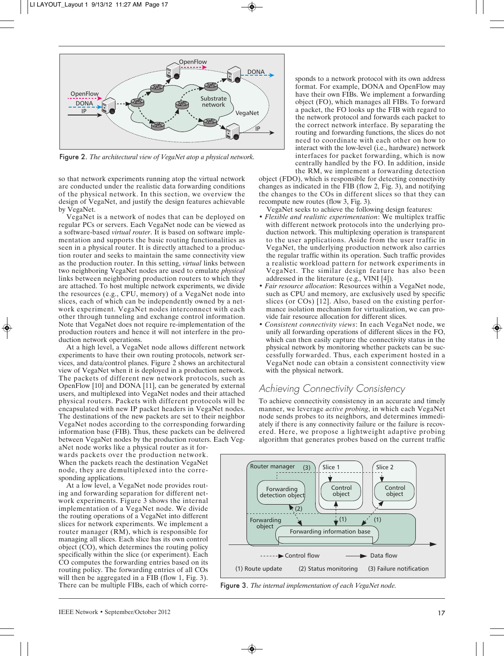

Figure 2. *The architectural view of VegaNet atop a physical network.*

so that network experiments running atop the virtual network are conducted under the realistic data forwarding conditions of the physical network. In this section, we overview the design of VegaNet, and justify the design features achievable by VegaNet.

VegaNet is a network of nodes that can be deployed on regular PCs or servers. Each VegaNet node can be viewed as a software-based *virtual router*. It is based on software implementation and supports the basic routing functionalities as seen in a physical router. It is directly attached to a production router and seeks to maintain the same connectivity view as the production router. In this setting, *virtual* links between two neighboring VegaNet nodes are used to emulate *physical* links between neighboring production routers to which they are attached. To host multiple network experiments, we divide the resources (e.g., CPU, memory) of a VegaNet node into slices, each of which can be independently owned by a network experiment. VegaNet nodes interconnect with each other through tunneling and exchange control information. Note that VegaNet does not require re-implementation of the production routers and hence it will not interfere in the production network operations.

At a high level, a VegaNet node allows different network experiments to have their own routing protocols, network services, and data/control planes. Figure 2 shows an architectural view of VegaNet when it is deployed in a production network. The packets of different new network protocols, such as OpenFlow [10] and DONA [11], can be generated by external users, and multiplexed into VegaNet nodes and their attached physical routers. Packets with different protocols will be encapsulated with new IP packet headers in VegaNet nodes. The destinations of the new packets are set to their neighbor Vega Net nodes according to the corresponding forwarding information base (FIB). Thus, these packets can be delivered between VegaNet nodes by the production routers. Each Veg-

aNet node works like a physical router as it forwards packets over the production network. When the packets reach the destination VegaNet node, they are demultiplexed into the corresponding applications.

At a low level, a VegaNet node provides routing and forwarding separation for different network experiments. Figure 3 shows the internal implementation of a VegaNet node. We divide the routing operations of a VegaNet into different slices for network experiments. We implement a router manager (RM), which is responsible for managing all slices. Each slice has its own control object (CO), which determines the routing policy specifically within the slice (or experiment). Each CO computes the forwarding entries based on its routing policy. The forwarding entries of all COs will then be aggregated in a FIB (flow 1, Fig. 3). There can be multiple FIBs, each of which corresponds to a network protocol with its own address format. For example, DONA and OpenFlow may have their own FIBs. We implement a forwarding object (FO), which manages all FIBs. To forward a packet, the FO looks up the FIB with regard to the network protocol and forwards each packet to the correct network interface. By separating the routing and forwarding functions, the slices do not need to coordinate with each other on how to interact with the low-level (i.e., hardware) network interfaces for packet forwarding, which is now centrally handled by the FO. In addition, inside

the RM, we implement a forwarding detection object (FDO), which is responsible for detecting connectivity changes as indicated in the FIB (flow 2, Fig. 3), and notifying the changes to the COs in different slices so that they can recompute new routes (flow 3, Fig. 3).

VegaNet seeks to achieve the following design features:

- *Flexible and realistic experimentation*: We multiplex traffic with different network protocols into the underlying production network. This multiplexing operation is transparent to the user applications. Aside from the user traffic in Vega Net, the underlying production network also carries the regular traffic within its operation. Such traffic provides a realistic workload pattern for network experiments in Vega Net. The similar design feature has also been addressed in the literature (e.g., VINI [4]).
- *Fair resource allocation*: Resources within a VegaNet node, such as CPU and memory, are exclusively used by specific slices (or COs) [12]. Also, based on the existing performance isolation mechanism for virtualization, we can provide fair resource allocation for different slices.
- *Consistent connectivity views*: In each VegaNet node, we unify all forwarding operations of different slices in the FO, which can then easily capture the connectivity status in the physical network by monitoring whether packets can be successfully forwarded. Thus, each experiment hosted in a VegaNet node can obtain a consistent connectivity view with the physical network.

# Achieving Connectivity Consistency

To achieve connectivity consistency in an accurate and timely manner, we leverage *active probing*, in which each VegaNet node sends probes to its neighbors, and determines immediately if there is any connectivity failure or the failure is recovered. Here, we propose a lightweight adaptive probing algorithm that generates probes based on the current traffic



Figure 3. *The internal implementation of each VegaNet node.*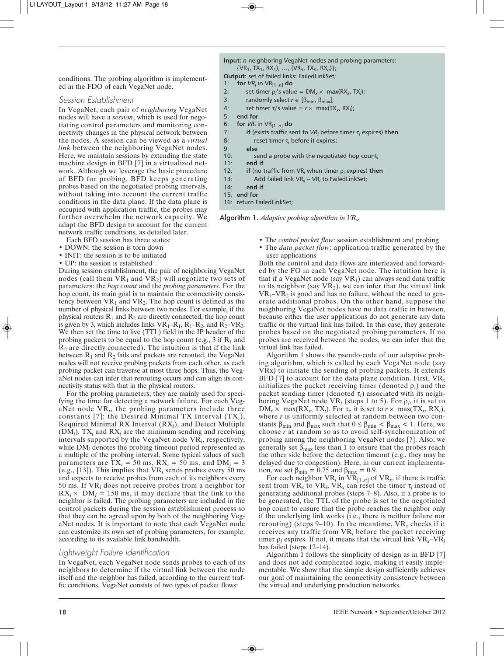conditions. The probing algorithm is implemented in the FDO of each VegaNet node.

## Session Establishment

In VegaNet, each pair of *neighboring* VegaNet nodes will have a *session*, which is used for negotiating control parameters and monitoring connectivity changes in the physical network between the nodes. A session can be viewed as a *virtual link* between the neighboring VegaNet nodes. Here, we maintain sessions by extending the state machine design in BFD [7] in a virtualized network. Although we leverage the basic procedure of BFD for probing, BFD keeps generating probes based on the negotiated probing intervals, without taking into account the current traffic conditions in the data plane. If the data plane is occupied with application traffic, the probes may further overwhelm the network capacity. We adapt the BFD design to account for the current network traffic conditions, as detailed later.

Each BFD session has three states:

- DOWN: the session is torn down
- INIT: the session is to be initiated

• UP: the session is established During session establishment, the pair of neighboring VegaNet nodes (call them  $VR_1$  and  $VR_2$ ) will negotiate two sets of parameters: the *hop count* and the *probing parameters*. For the hop count, its main goal is to maintain the connectivity consistency between  $VR_1$  and  $VR_2$ . The hop count is defined as the number of physical links between two nodes. For example, if the physical routers  $R_1$  and  $R_2$  are directly connected, the hop count is given by 3, which includes links  $VR_1-R_1, R_1-R_2$ , and  $R_2-VR_2$ . We then set the time to live (TTL) field in the IP header of the probing packets to be equal to the hop count (e.g., 3 if  $R_1$  and  $R_2$  are directly connected). The intuition is that if the link between  $R_1$  and  $R_2$  fails and packets are rerouted, the VegaNet

aNet nodes can infer that rerouting occurs and can align its connectivity status with that in the physical routers. For the probing parameters, they are mainly used for specifying the time for detecting a network failure. For each VegaNet node VR*i*, the probing parameters include three constants [7]: the Desired Minimal TX Interval (TX*i*), Required Minimal RX Interval (RX*i*), and Detect Multiple  $(DM_i)$ . TX<sub>i</sub> and RX<sub>i</sub> are the minimum sending and receiving intervals supported by the VegaNet node VR*i*, respectively, while  $DM_i$  denotes the probing timeout period represented as a multiple of the probing interval. Some typical values of such parameters are  $TX_i = 50$  ms,  $RX_i = 50$  ms, and  $DM_i = 3$  $(e.g., [13])$ . This implies that  $VR_i$  sends probes every 50 ms and expects to receive probes from each of its neighbors every 50 ms. If VR*<sup>i</sup>* does not receive probes from a neighbor for  $RX_i \times DM_i = 150$  ms, it may declare that the link to the neighbor is failed. The probing parameters are included in the control packets during the session establishment process so that they can be agreed upon by both of the neighboring VegaNet nodes. It is important to note that each VegaNet node can customize its own set of probing parameters, for example, according to its available link bandwidth.

nodes will not receive probing packets from each other, as each probing packet can traverse at most three hops. Thus, the Veg-

## Lightweight Failure Identification

In VegaNet, each VegaNet node sends probes to each of its neighbors to determine if the virtual link between the node itself and the neighbor has failed, according to the current traffic conditions. VegaNet consists of two types of packet flows:

```
{VR1, TX1, RX1), …, (VRn, TXn, RXn)};
Output: set of failed links: FailedLinkSet;
1: for VR_i in VR_{[1..n]} do
2: set timer \rho_i's value = DM_x \times max(RX_x, TX_i);
3: randomly select r \in [\beta_{\text{min}}, \beta_{\text{max}}];
4: set timer \tau_i's value = r \times \text{max(TX}_x, \text{RX}_i);
5: end for
6: for VRi in VR[1..n] do
7: if (exists traffic sent to VR_i before timer \tau_i expires) then
8: reset timer \tau_i before it expires;
9: else
10: send a probe with the negotiated hop count;
11: end if
12: if (no traffic from VR<sub>i</sub> when timer \rho_i expires) then
13: Add failed link VRx – VRi to FailedLinkSet;
14: end if
15: end for
16: return FailedLinkSet;
```
**Input:** *n* neighboring VegaNet nodes and probing parameters:

Algorithm 1. *Adaptive probing algorithm in VR*x*.*

- The *control packet flow*: session establishment and probing
- The *data packet flow*: application traffic generated by the user applications

Both the control and data flows are interleaved and forwarded by the FO in each VegaNet node. The intuition here is that if a VegaNet node (say  $VR<sub>1</sub>$ ) can always send data traffic to its neighbor (say  $VR<sub>2</sub>$ ), we can infer that the virtual link  $VR_1$ –V $R_2$  is good and has no failure, without the need to generate additional probes. On the other hand, suppose the neighboring VegaNet nodes have no data traffic in between, because either the user applications do not generate any data traffic or the virtual link has failed. In this case, they generate probes based on the negotiated probing parameters. If no probes are received between the nodes, we can infer that the virtual link has failed.

Algorithm 1 shows the pseudo-code of our adaptive probing algorithm, which is called by each VegaNet node (say VRx) to initiate the sending of probing packets. It extends BFD [7] to account for the data plane condition. First, VR*<sup>x</sup>* initializes the packet receiving timer (denoted  $\rho_i$ ) and the packet sending timer (denoted  $\tau_i$ ) associated with its neighboring VegaNet node  $VR_i$  (steps 1 to 5). For  $\rho_i$ , it is set to  $DM_x \times \text{max}(RX_x, TX_i)$ . For  $\tau_i$ , it is set to  $r \times \text{max}(TX_x, RX_i)$ , where *r* is uniformly selected at random between two constants  $\beta_{\text{min}}$  and  $\beta_{\text{max}}$  such that  $0 \leq \beta_{\text{min}} < \beta_{\text{max}} < 1$ . Here, we choose *r* at random so as to avoid self-synchronization of probing among the neighboring VegaNet nodes [7]. Also, we generally set  $\beta_{\text{max}}$  less than 1 to ensure that the probes reach the other side before the detection timeout (e.g., they may be delayed due to congestion). Here, in our current implementation, we set  $\beta_{\text{min}} = 0.75$  and  $\beta_{\text{max}} = 0.9$ .

For each neighbor  $VR_i$  in  $VR_{[1..n]}$  of  $VR_x$ , if there is traffic sent from  $VR_x$  to  $VR_i$ ,  $VR_x$  can reset the timer  $\tau_i$  instead of generating additional probes (steps 7–8). Also, if a probe is to be generated, the TTL of the probe is set to the negotiated hop count to ensure that the probe reaches the neighbor only if the underlying link works (i.e., there is neither failure nor rerouting) (steps 9–10). In the meantime,  $VR<sub>x</sub>$  checks if it receives any traffic from VR*<sup>i</sup>* before the packet receiving timer  $\rho_i$  expires. If not, it means that the virtual link  $VR_x$ –V $R_i$ has failed (steps 12–14).

Algorithm 1 follows the simplicity of design as in BFD [7] and does not add complicated logic, making it easily implementable. We show that the simple design sufficiently achieves our goal of maintaining the connectivity consistency between the virtual and underlying production networks.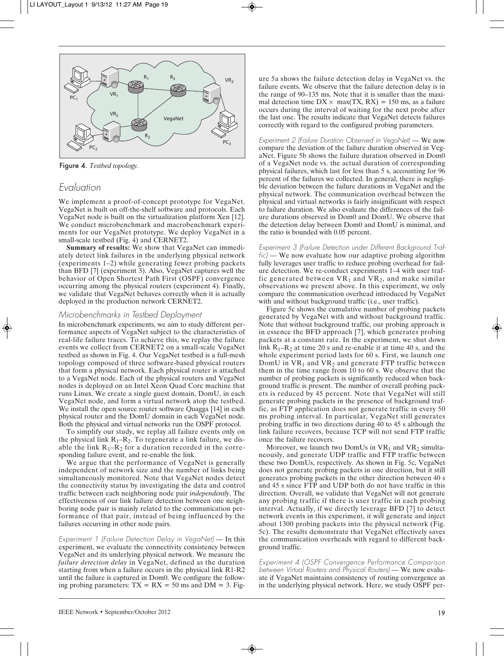

Figure 4. *Testbed topology.*

## Evaluation

We implement a proof-of-concept prototype for VegaNet. VegaNet is built on off-the-shelf software and protocols. Each VegaNet node is built on the virtualization platform Xen [12]. We conduct microbenchmark and macrobenchmark experiments for our VegaNet prototype. We deploy VegaNet in a small-scale testbed (Fig. 4) and CERNET2.

**Summary of results:** We show that VegaNet can immediately detect link failures in the underlying physical network (experiments 1–2) while generating fewer probing packets than BFD [7] (experiment 3). Also, VegaNet captures well the behavior of Open Shortest Path First (OSPF) convergence occurring among the physical routers (experiment 4). Finally, we validate that VegaNet behaves correctly when it is actually deployed in the production network CERNET2.

### Microbenchmarks in Testbed Deployment

In microbenchmark experiments, we aim to study different performance aspects of VegaNet subject to the characteristics of real-life failure traces. To achieve this, we replay the failure events we collect from CERNET2 on a small-scale VegaNet testbed as shown in Fig. 4. Our VegaNet testbed is a full-mesh topology composed of three software-based physical routers that form a physical network. Each physical router is attached to a VegaNet node. Each of the physical routers and VegaNet nodes is deployed on an Intel Xeon Quad Core machine that runs Linux. We create a single guest domain, DomU, in each VegaNet node, and form a virtual network atop the testbed. We install the open source router software Quagga [14] in each physical router and the DomU domain in each VegaNet node. Both the physical and virtual networks run the OSPF protocol.

To simplify our study, we replay all failure events only on the physical link  $R_1-R_2$ . To regenerate a link failure, we disable the link  $R_1-R_2$  for a duration recorded in the corresponding failure event, and re-enable the link.

We argue that the performance of VegaNet is generally independent of network size and the number of links being simultaneously monitored. Note that VegaNet nodes detect the connectivity status by investigating the data and control traffic between each neighboring node pair *independently*. The effectiveness of our link failure detection between one neighboring node pair is mainly related to the communication performance of that pair, instead of being influenced by the failures occurring in other node pairs.

Experiment 1 (Failure Detection Delay in VegaNet) - In this experiment, we evaluate the connectivity consistency between VegaNet and its underlying physical network. We measure the *failure detection delay* in VegaNet, defined as the duration starting from when a failure occurs in the physical link R1-R2 until the failure is captured in Dom0. We configure the following probing parameters:  $TX = RX = 50$  ms and  $DM = 3$ . Fig-

ure 5a shows the failure detection delay in VegaNet vs. the failure events. We observe that the failure detection delay is in the range of 90–135 ms. Note that it is smaller than the maximal detection time  $DX \times max(TX, RX) = 150$  ms, as a failure occurs during the interval of waiting for the next probe after the last one. The results indicate that VegaNet detects failures correctly with regard to the configured probing parameters.

Experiment 2 (Failure Duration Observed in VegaNet) - We now compare the deviation of the failure duration observed in VegaNet. Figure 5b shows the failure duration observed in Dom0 of a VegaNet node vs. the actual duration of corresponding physical failures, which last for less than 5 s, accounting for 96 percent of the failures we collected. In general, there is negligible deviation between the failure durations in VegaNet and the physical network. The communication overhead between the physical and virtual networks is fairly insignificant with respect to failure duration. We also evaluate the differences of the failure durations observed in Dom0 and DomU. We observe that the detection delay between Dom0 and DomU is minimal, and the ratio is bounded with 0.05 percent.

Experiment 3 (Failure Detection under Different Background Traf $f_{\text{ic}}$  — We now evaluate how our adaptive probing algorithm fully leverages user traffic to reduce probing overhead for failure detection. We re-conduct experiments 1–4 with user traffic generated between  $VR_1$  and  $VR_2$ , and make similar observations we present above. In this experiment, we only compare the communication overhead introduced by VegaNet with and without background traffic (i.e., user traffic).

Figure 5c shows the cumulative number of probing packets generated by VegaNet with and without background traffic. Note that without background traffic, our probing approach is in essence the BFD approach [7], which generates probing packets at a constant rate. In the experiment, we shut down link  $R_1-R_2$  at time 20 s and re-enable it at time 40 s, and the whole experiment period lasts for 60 s. First, we launch one DomU in  $VR_1$  and  $VR_2$  and generate FTP traffic between them in the time range from 10 to 60 s. We observe that the number of probing packets is significantly reduced when background traffic is present. The number of overall probing packets is reduced by 45 percent. Note that VegaNet will still generate probing packets in the presence of background traffic, as FTP application does not generate traffic in every 50 ms probing interval. In particular, VegaNet still generates probing traffic in two directions during 40 to 45 s although the link failure recovers, because TCP will not send FTP traffic once the failure recovers.

Moreover, we launch two DomUs in  $VR_1$  and  $VR_2$  simultaneously, and generate UDP traffic and FTP traffic between these two DomUs, respectively. As shown in Fig. 5c, VegaNet does not generate probing packets in one direction, but it still generates probing packets in the other direction between 40 s and 45 s since FTP and UDP both do not have traffic in this direction. Overall, we validate that VegaNet will not generate any probing traffic if there is user traffic in each probing interval. Actually, if we directly leverage BFD [7] to detect network events in this experiment, it will generate and inject about 1300 probing packets into the physical network (Fig. 5c). The results demonstrate that VegaNet effectively saves the communication overheads with regard to different background traffic.

Experiment 4 (OSPF Convergence Performance Comparison between Virtual Routers and Physical Routers) — We now evaluate if VegaNet maintains consistency of routing convergence as in the underlying physical network. Here, we study OSPF per-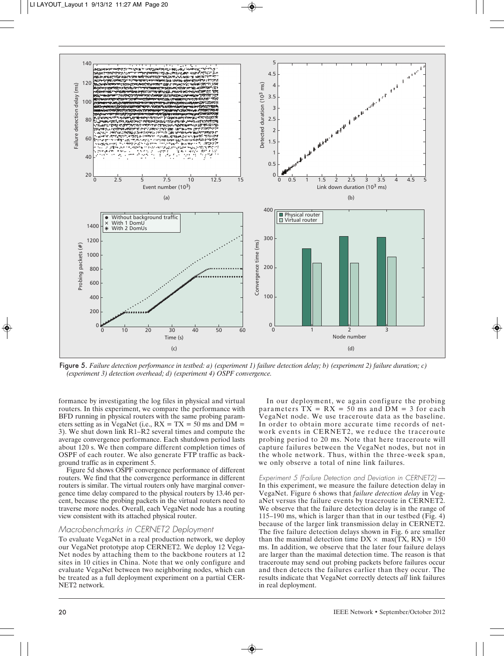

Figure 5. *Failure detection performance in testbed: a) (experiment 1) failure detection delay; b) (experiment 2) failure duration; c) (experiment 3) detection overhead; d) (experiment 4) OSPF convergence.*

formance by investigating the log files in physical and virtual routers. In this experiment, we compare the performance with BFD running in physical routers with the same probing parameters setting as in VegaNet (i.e.,  $RX = TX = 50$  ms and  $DM =$ 3). We shut down link R1–R2 several times and compute the average convergence performance. Each shutdown period lasts about 120 s. We then compare different completion times of OSPF of each router. We also generate FTP traffic as background traffic as in experiment 5.

Figure 5d shows OSPF convergence performance of different routers. We find that the convergence performance in different routers is similar. The virtual routers only have marginal convergence time delay compared to the physical routers by 13.46 percent, because the probing packets in the virtual routers need to traverse more nodes. Overall, each VegaNet node has a routing view consistent with its attached physical router.

### Macrobenchmarks in CERNET2 Deployment

To evaluate VegaNet in a real production network, we deploy our VegaNet prototype atop CERNET2. We deploy 12 Vega-Net nodes by attaching them to the backbone routers at 12 sites in 10 cities in China. Note that we only configure and evaluate VegaNet between two neighboring nodes, which can be treated as a full deployment experiment on a partial CER-NET2 network.

In our deployment, we again configure the probing parameters  $TX = RX = 50$  ms and  $DM = 3$  for each VegaNet node. We use traceroute data as the baseline. In order to obtain more accurate time records of network events in CERNET2, we reduce the traceroute probing period to 20 ms. Note that here traceroute will capture failures between the VegaNet nodes, but not in the whole network. Thus, within the three-week span, we only observe a total of nine link failures.

Experiment 5 (Failure Detection and Deviation in CERNET2) — In this experiment, we measure the failure detection delay in VegaNet. Figure 6 shows that *failure detection delay* in VegaNet versus the failure events by traceroute in CERNET2. We observe that the failure detection delay is in the range of 115–190 ms, which is larger than that in our testbed (Fig. 4) because of the larger link transmission delay in CERNET2. The five failure detection delays shown in Fig. 6 are smaller than the maximal detection time  $DX \times max(TX, RX) = 150$ ms. In addition, we observe that the later four failure delays are larger than the maximal detection time. The reason is that traceroute may send out probing packets before failures occur and then detects the failures earlier than they occur. The results indicate that VegaNet correctly detects *all* link failures in real deployment.